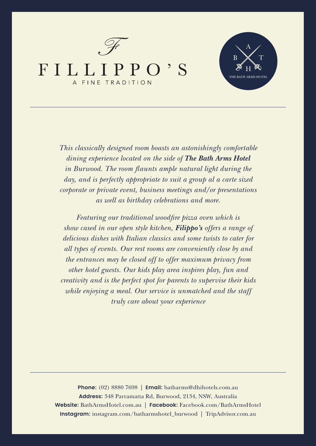



*This classically designed room boasts an astonishingly comfortable dining experience located on the side of The Bath Arms Hotel in Burwood. The room flaunts ample natural light during the day, and is perfectly appropriate to suit a group al a carte sized corporate or private event, business meetings and/or presentations as well as birthday celebrations and more.*

*Featuring our traditional woodfire pizza oven which is show cased in our open style kitchen, Filippo's offers a range of delicious dishes with Italian classics and some twists to cater for all types of events. Our rest rooms are conveniently close by and the entrances may be closed off to offer maximum privacy from other hotel guests. Our kids play area inspires play, fun and creativity and is the perfect spot for parents to supervise their kids while enjoying a meal. Our service is unmatched and the staff truly care about your experience*

**Phone:** (02) 8880 7698 | **Email:** batharms@dhihotels.com.au **Address:** 348 Parramatta Rd, Burwood, 2134, NSW, Australia **Website:** BathArmsHotel.com.au | **Facebook:** Facebook.com/BathArmsHotel **Instagram:** instagram.com/batharmshotel\_burwood | TripAdvisor.com.au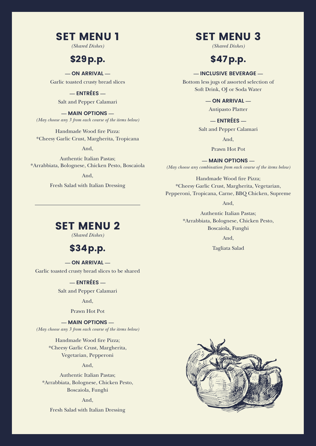## SET MENU 1

*(Shared Dishes)*

### \$29p.p.

**— ON ARRIVAL —**

Garlic toasted crusty bread slices

**— ENTRÉES —** Salt and Pepper Calamari

**— MAIN OPTIONS —** *(May choose any 3 from each course of the items below)* 

Handmade Wood fire Pizza: \*Cheesy Garlic Crust, Margherita, Tropicana

And,

Authentic Italian Pastas; \*Arrabbiata, Bolognese, Chicken Pesto, Boscaiola

And,

Fresh Salad with Italian Dressing

# SET MENU 3

*(Shared Dishes)* 

# \$47p.p.

### **— INCLUSIVE BEVERAGE —**

Bottom less jugs of assorted selection of Soft Drink, OJ or Soda Water

**— ON ARRIVAL —**

Antipasto Platter

**— ENTRÉES —**

Salt and Pepper Calamari

And,

Prawn Hot Pot

**— MAIN OPTIONS —** *(May choose any combination from each course of the items below)* 

Handmade Wood fire Pizza; \*Cheesy Garlic Crust, Margherita, Vegetarian, Pepperoni, Tropicana, Carne, BBQ Chicken, Supreme

And,

Authentic Italian Pastas; \*Arrabbiata, Bolognese, Chicken Pesto, Boscaiola, Funghi

And,

Tagliata Salad

## **SET MENU 2**

*(Shared Dishes)*

## \$34p.p.

**— ON ARRIVAL —** Garlic toasted crusty bread slices to be shared

### **— ENTRÉES —**

Salt and Pepper Calamari

And,

#### Prawn Hot Pot

**— MAIN OPTIONS —**

*(May choose any 3 from each course of the items below)*

Handmade Wood fire Pizza; \*Cheesy Garlic Crust, Margherita, Vegetarian, Pepperoni

#### And,

Authentic Italian Pastas; \*Arrabbiata, Bolognese, Chicken Pesto, Boscaiola, Funghi

And,

Fresh Salad with Italian Dressing

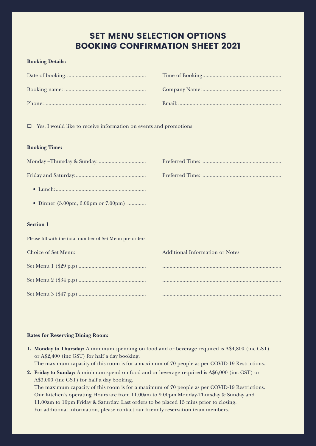### SET MENU SELECTION OPTIONS BOOKING CONFIRMATION SHEET 2021

#### **Booking Details:**

 $\Box$  Yes, I would like to receive information on events and promotions

#### **Booking Time:**

| • Dinner (5.00pm, 6.00pm or 7.00pm):                      |                                        |
|-----------------------------------------------------------|----------------------------------------|
|                                                           |                                        |
| <b>Section 1</b>                                          |                                        |
| Please fill with the total number of Set Menu pre orders. |                                        |
| Choice of Set Menu:                                       | <b>Additional Information or Notes</b> |
|                                                           |                                        |
|                                                           |                                        |
|                                                           |                                        |

Set Menu 3 (\$47 p.p) ............................................... ...................................................................................

#### **Rates for Reserving Dining Room:**

- **1. Monday to Thursday:** A minimum spending on food and or beverage required is A\$4,800 (inc GST) or A\$2,400 (inc GST) for half a day booking. The maximum capacity of this room is for a maximum of 70 people as per COVID-19 Restrictions.
- **2. Friday to Sunday:** A minimum spend on food and or beverage required is A\$6,000 (inc GST) or A\$3,000 (inc GST) for half a day booking. The maximum capacity of this room is for a maximum of 70 people as per COVID-19 Restrictions. Our Kitchen's operating Hours are from 11.00am to 9.00pm Monday-Thursday & Sunday and 11.00am to 10pm Friday & Saturday. Last orders to be placed 15 mins prior to closing. For additional information, please contact our friendly reservation team members.